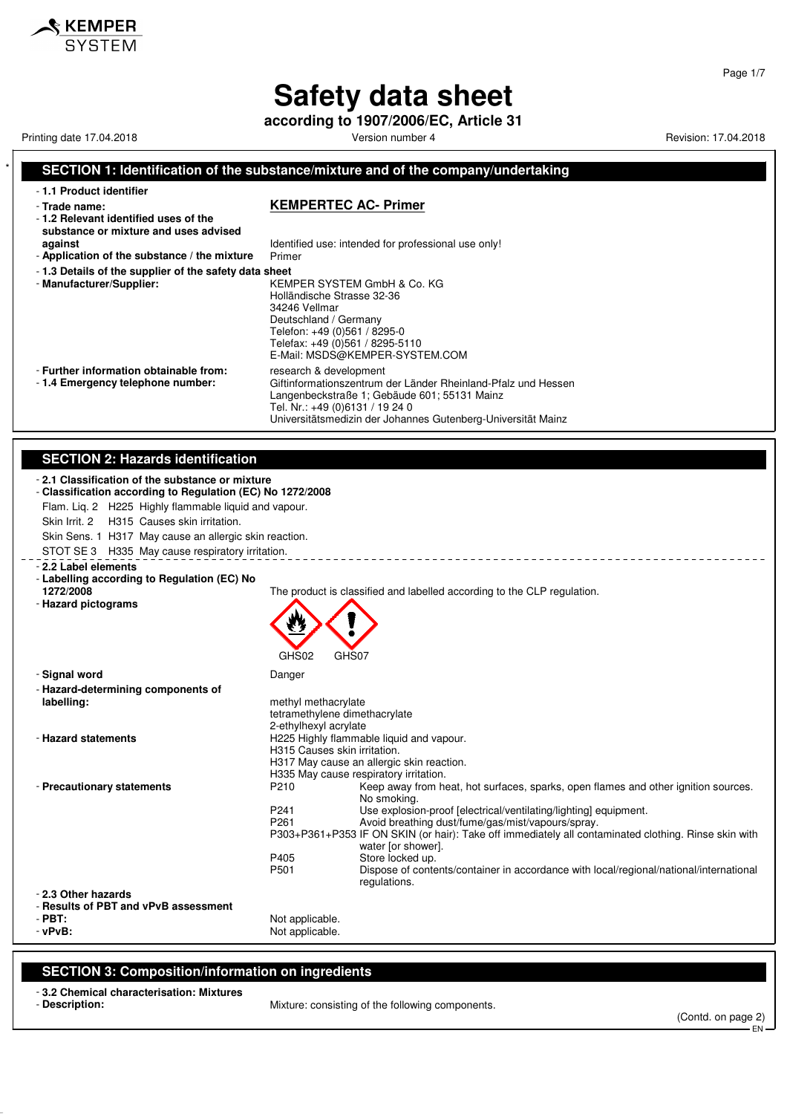# **Safety data sheet**

**according to 1907/2006/EC, Article 31**

Printing date 17.04.2018 **Principal and Contract Contract Contract Contract Contract Contract Contract Contract Contract Contract Contract Contract Contract Contract Contract Contract Contract Contract Contract Contract Co** 

 $\boldsymbol{\hat{x}}$  KEMPER

## \* **SECTION 1: Identification of the substance/mixture and of the company/undertaking** - **1.1 Product identifier** - **Trade name: KEMPERTEC AC- Primer** - **1.2 Relevant identified uses of the substance or mixture and uses advised against against Identified use:** intended for professional use only!<br>**Application of the substance / the mixture** Primer - Application of the substance / the mixture - **1.3 Details of the supplier of the safety data sheet** - **Manufacturer/Supplier:** KEMPER SYSTEM GmbH & Co. KG Holländische Strasse 32-36 34246 Vellmar Deutschland / Germany Telefon: +49 (0)561 / 8295-0 Telefax: +49 (0)561 / 8295-5110 E-Mail: MSDS@KEMPER-SYSTEM.COM - **Further information obtainable from:** research & development<br>- 1.4 **Emergency telephone number:** Giftinformationszentrum Giftinformationszentrum der Länder Rheinland-Pfalz und Hessen Langenbeckstraße 1; Gebäude 601; 55131 Mainz Tel. Nr.: +49 (0)6131 / 19 24 0 Universitätsmedizin der Johannes Gutenberg-Universität Mainz **SECTION 2: Hazards identification** - **2.1 Classification of the substance or mixture** - **Classification according to Regulation (EC) No 1272/2008** Flam. Liq. 2 H225 Highly flammable liquid and vapour. Skin Irrit. 2 H315 Causes skin irritation. Skin Sens. 1 H317 May cause an allergic skin reaction. STOT SE 3 H335 May cause respiratory irritation. - **2.2 Label elements** - **Labelling according to Regulation (EC) No 1272/2008** The product is classified and labelled according to the CLP regulation. - **Hazard pictograms** GHS02 GHS07 - **Signal word** Danger - **Hazard-determining components of labelling:** methyl methacrylate tetramethylene dimethacrylate 2-ethylhexyl acrylate - **Hazard statements H225 Highly flammable liquid and vapour.** H315 Causes skin irritation. H317 May cause an allergic skin reaction. H335 May cause respiratory irritation. - **Precautionary statements** P210 Keep away from heat, hot surfaces, sparks, open flames and other ignition sources. No smoking. P241 Use explosion-proof [electrical/ventilating/lighting] equipment.<br>P261 Avoid breathing dust/fume/gas/mist/vapours/spray Avoid breathing dust/fume/gas/mist/vapours/spray. P303+P361+P353 IF ON SKIN (or hair): Take off immediately all contaminated clothing. Rinse skin with water [or shower]. P405 Store locked up.<br>P501 Dispose of conte Dispose of contents/container in accordance with local/regional/national/international regulations. - **2.3 Other hazards** - **Results of PBT and vPvB assessment** - **PBT:**<br>
PV**PVB:**<br>
PVPVB:<br>
Not applicable. Not applicable.

### **SECTION 3: Composition/information on ingredients**

- **3.2 Chemical characterisation: Mixtures**
- 

- **Description:** Mixture: consisting of the following components.

(Contd. on page 2)

EN

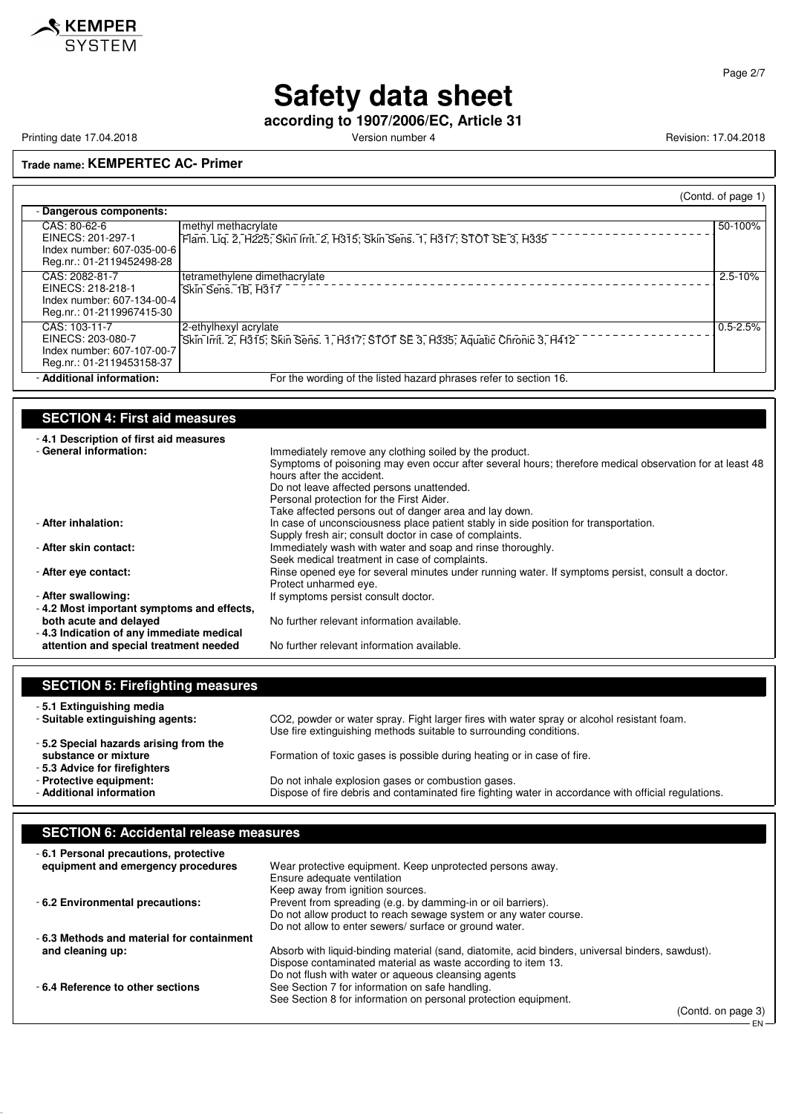

Page 2/7

# **Safety data sheet**

**according to 1907/2006/EC, Article 31**

Printing date 17.04.2018 **Principal and American Control Control** Version number 4 Revision: 17.04.2018 **Revision: 17.04.2018** 

**Trade name: KEMPERTEC AC- Primer**

|                                                                                                                                                                                    | (Contd. of page 1)                                                                                                                                                                                                                                                                                                                                |
|------------------------------------------------------------------------------------------------------------------------------------------------------------------------------------|---------------------------------------------------------------------------------------------------------------------------------------------------------------------------------------------------------------------------------------------------------------------------------------------------------------------------------------------------|
| - Dangerous components:                                                                                                                                                            |                                                                                                                                                                                                                                                                                                                                                   |
| CAS: 80-62-6<br>methyl methacrylate<br>EINECS: 201-297-1<br>Index number: 607-035-00-6<br>Reg.nr.: 01-2119452498-28                                                                | 50-100%<br>Flam. Liq. 2, H225; Skin Irrit. 2, H315; Skin Sens. 1, H317; STOT SE 3, H335                                                                                                                                                                                                                                                           |
| CAS: 2082-81-7<br>tetramethylene dimethacrylate<br>EINECS: 218-218-1<br>Skin Sens. 1B, H317<br>Index number: 607-134-00-4<br>Reg.nr.: 01-2119967415-30                             | $2.5 - 10%$                                                                                                                                                                                                                                                                                                                                       |
| CAS: 103-11-7<br>2-ethylhexyl acrylate<br>EINECS: 203-080-7<br>Index number: 607-107-00-7<br>Reg.nr.: 01-2119453158-37                                                             | $0.5 - 2.5%$<br>Skin Irrit. 2, H315; Skin Sens. 1, H317; STOT SE 3, H335; Aquatic Chronic 3, H412                                                                                                                                                                                                                                                 |
| - Additional information:                                                                                                                                                          | For the wording of the listed hazard phrases refer to section 16.                                                                                                                                                                                                                                                                                 |
| <b>SECTION 4: First aid measures</b><br>-4.1 Description of first aid measures<br>- General information:                                                                           | Immediately remove any clothing soiled by the product.<br>Symptoms of poisoning may even occur after several hours; therefore medical observation for at least 48<br>hours after the accident.<br>Do not leave affected persons unattended.<br>Personal protection for the First Aider.<br>Take affected persons out of danger area and lay down. |
| - After inhalation:<br>- After skin contact:                                                                                                                                       | In case of unconsciousness place patient stably in side position for transportation.<br>Supply fresh air; consult doctor in case of complaints.<br>Immediately wash with water and soap and rinse thoroughly.                                                                                                                                     |
| - After eye contact:                                                                                                                                                               | Seek medical treatment in case of complaints.<br>Rinse opened eve for several minutes under running water. If symptoms persist, consult a doctor.<br>Protect unharmed eye.                                                                                                                                                                        |
| - After swallowing:<br>- 4.2 Most important symptoms and effects,<br>both acute and delayed<br>- 4.3 Indication of any immediate medical<br>attention and special treatment needed | If symptoms persist consult doctor.<br>No further relevant information available.<br>No further relevant information available.                                                                                                                                                                                                                   |
|                                                                                                                                                                                    |                                                                                                                                                                                                                                                                                                                                                   |
| <b>SECTION 5: Firefighting measures</b>                                                                                                                                            |                                                                                                                                                                                                                                                                                                                                                   |
| -5.1 Extinguishing media<br>- Suitable extinguishing agents:<br>-5.2 Special hazards arising from the                                                                              | CO2, powder or water spray. Fight larger fires with water spray or alcohol resistant foam.<br>Use fire extinguishing methods suitable to surrounding conditions.                                                                                                                                                                                  |
| substance or mixture<br>- 5.3 Advice for firefighters<br>- Protective equipment:<br>- Additional information                                                                       | Formation of toxic gases is possible during heating or in case of fire.<br>Do not inhale explosion gases or combustion gases.<br>Dispose of fire debris and contaminated fire fighting water in accordance with official regulations.                                                                                                             |
| <b>SECTION 6: Accidental release measures</b>                                                                                                                                      |                                                                                                                                                                                                                                                                                                                                                   |

| -6.1 Personal precautions, protective      |                                                                                                  |
|--------------------------------------------|--------------------------------------------------------------------------------------------------|
| equipment and emergency procedures         | Wear protective equipment. Keep unprotected persons away.                                        |
|                                            | Ensure adequate ventilation                                                                      |
|                                            | Keep away from ignition sources.                                                                 |
| - 6.2 Environmental precautions:           | Prevent from spreading (e.g. by damming-in or oil barriers).                                     |
|                                            | Do not allow product to reach sewage system or any water course.                                 |
|                                            | Do not allow to enter sewers/ surface or ground water.                                           |
| - 6.3 Methods and material for containment |                                                                                                  |
| and cleaning up:                           | Absorb with liquid-binding material (sand, diatomite, acid binders, universal binders, sawdust). |
|                                            | Dispose contaminated material as waste according to item 13.                                     |
|                                            | Do not flush with water or aqueous cleansing agents                                              |
| -6.4 Reference to other sections           | See Section 7 for information on safe handling.                                                  |
|                                            | See Section 8 for information on personal protection equipment.                                  |
|                                            | (Contdonnone 2)                                                                                  |

(Contd. on page 3)

EN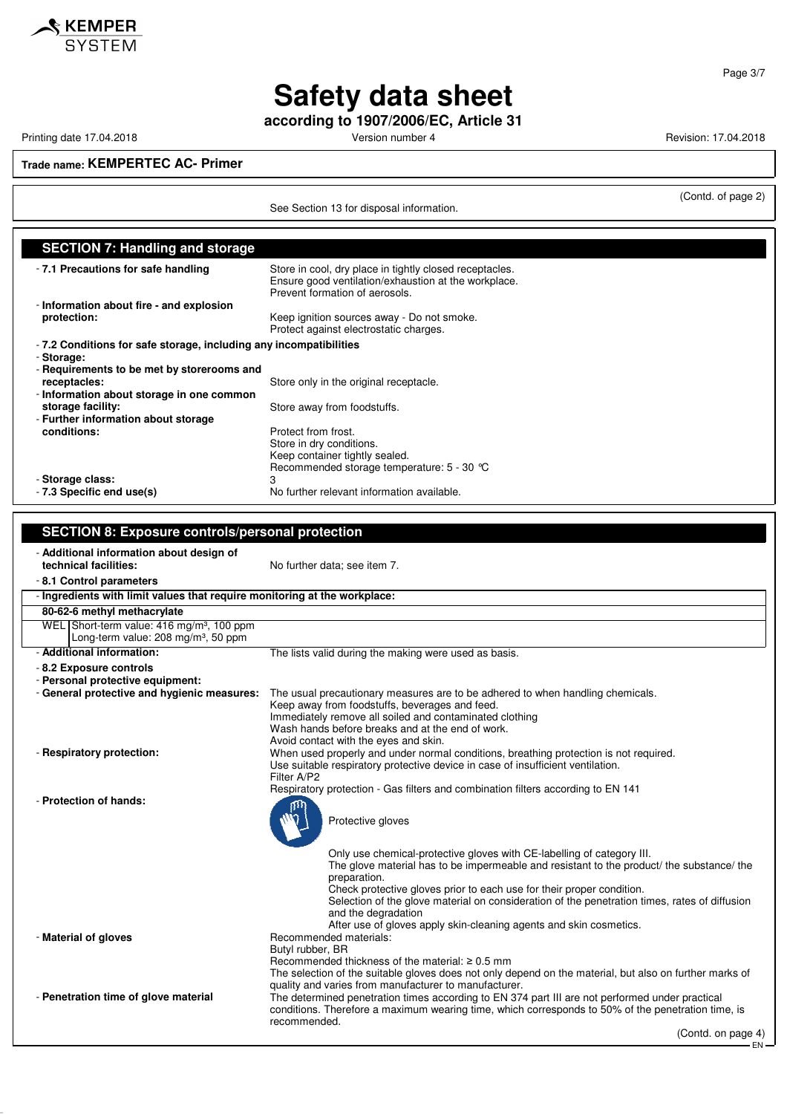

**according to 1907/2006/EC, Article 31**

Printing date 17.04.2018 **Printing date 17.04.2018** Version number 4 Revision: 17.04.2018

KEMPER **SYSTEM** 

**Trade name: KEMPERTEC AC- Primer**

See Section 13 for disposal information.

(Contd. of page 2)

| <b>SECTION 7: Handling and storage</b>                                    |                                                                                                                                                                                                       |
|---------------------------------------------------------------------------|-------------------------------------------------------------------------------------------------------------------------------------------------------------------------------------------------------|
| - 7.1 Precautions for safe handling                                       | Store in cool, dry place in tightly closed receptacles.<br>Ensure good ventilation/exhaustion at the workplace.                                                                                       |
| - Information about fire - and explosion                                  | Prevent formation of aerosols.                                                                                                                                                                        |
| protection:                                                               | Keep ignition sources away - Do not smoke.                                                                                                                                                            |
|                                                                           | Protect against electrostatic charges.                                                                                                                                                                |
| - 7.2 Conditions for safe storage, including any incompatibilities        |                                                                                                                                                                                                       |
| - Storage:                                                                |                                                                                                                                                                                                       |
| - Requirements to be met by storerooms and<br>receptacles:                | Store only in the original receptacle.                                                                                                                                                                |
| - Information about storage in one common                                 |                                                                                                                                                                                                       |
| storage facility:                                                         | Store away from foodstuffs.                                                                                                                                                                           |
| - Further information about storage                                       |                                                                                                                                                                                                       |
| conditions:                                                               | Protect from frost.                                                                                                                                                                                   |
|                                                                           | Store in dry conditions.<br>Keep container tightly sealed.                                                                                                                                            |
|                                                                           | Recommended storage temperature: 5 - 30 °C                                                                                                                                                            |
| - Storage class:                                                          | 3                                                                                                                                                                                                     |
| - 7.3 Specific end use(s)                                                 | No further relevant information available.                                                                                                                                                            |
|                                                                           |                                                                                                                                                                                                       |
| <b>SECTION 8: Exposure controls/personal protection</b>                   |                                                                                                                                                                                                       |
|                                                                           |                                                                                                                                                                                                       |
| - Additional information about design of<br>technical facilities:         | No further data; see item 7.                                                                                                                                                                          |
| -8.1 Control parameters                                                   |                                                                                                                                                                                                       |
| - Ingredients with limit values that require monitoring at the workplace: |                                                                                                                                                                                                       |
| 80-62-6 methyl methacrylate                                               |                                                                                                                                                                                                       |
| WEL Short-term value: 416 mg/m <sup>3</sup> , 100 ppm                     |                                                                                                                                                                                                       |
| Long-term value: 208 mg/m <sup>3</sup> , 50 ppm                           |                                                                                                                                                                                                       |
| - Additional information:                                                 | The lists valid during the making were used as basis.                                                                                                                                                 |
| - 8.2 Exposure controls                                                   |                                                                                                                                                                                                       |
| - Personal protective equipment:                                          |                                                                                                                                                                                                       |
| - General protective and hygienic measures:                               | The usual precautionary measures are to be adhered to when handling chemicals.<br>Keep away from foodstuffs, beverages and feed.                                                                      |
|                                                                           | Immediately remove all soiled and contaminated clothing                                                                                                                                               |
|                                                                           | Wash hands before breaks and at the end of work.                                                                                                                                                      |
|                                                                           | Avoid contact with the eyes and skin.                                                                                                                                                                 |
| - Respiratory protection:                                                 | When used properly and under normal conditions, breathing protection is not required.<br>Use suitable respiratory protective device in case of insufficient ventilation.                              |
|                                                                           | Filter A/P2                                                                                                                                                                                           |
|                                                                           | Respiratory protection - Gas filters and combination filters according to EN 141                                                                                                                      |
| - Protection of hands:                                                    | րո                                                                                                                                                                                                    |
|                                                                           | <b>Ni</b> s<br>Protective gloves                                                                                                                                                                      |
|                                                                           |                                                                                                                                                                                                       |
|                                                                           | Only use chemical-protective gloves with CE-labelling of category III.                                                                                                                                |
|                                                                           | The glove material has to be impermeable and resistant to the product/ the substance/ the                                                                                                             |
|                                                                           | preparation.<br>Check protective gloves prior to each use for their proper condition.                                                                                                                 |
|                                                                           | Selection of the glove material on consideration of the penetration times, rates of diffusion                                                                                                         |
|                                                                           | and the degradation                                                                                                                                                                                   |
|                                                                           | After use of gloves apply skin-cleaning agents and skin cosmetics.                                                                                                                                    |
| - Material of gloves                                                      | Recommended materials:<br>Butyl rubber, BR                                                                                                                                                            |
|                                                                           | Recommended thickness of the material: $\geq 0.5$ mm                                                                                                                                                  |
|                                                                           | The selection of the suitable gloves does not only depend on the material, but also on further marks of                                                                                               |
|                                                                           | quality and varies from manufacturer to manufacturer.                                                                                                                                                 |
| - Penetration time of glove material                                      | The determined penetration times according to EN 374 part III are not performed under practical<br>conditions. Therefore a maximum wearing time, which corresponds to 50% of the penetration time, is |
|                                                                           | recommended.                                                                                                                                                                                          |
|                                                                           | (Contd. on page 4)                                                                                                                                                                                    |
|                                                                           |                                                                                                                                                                                                       |

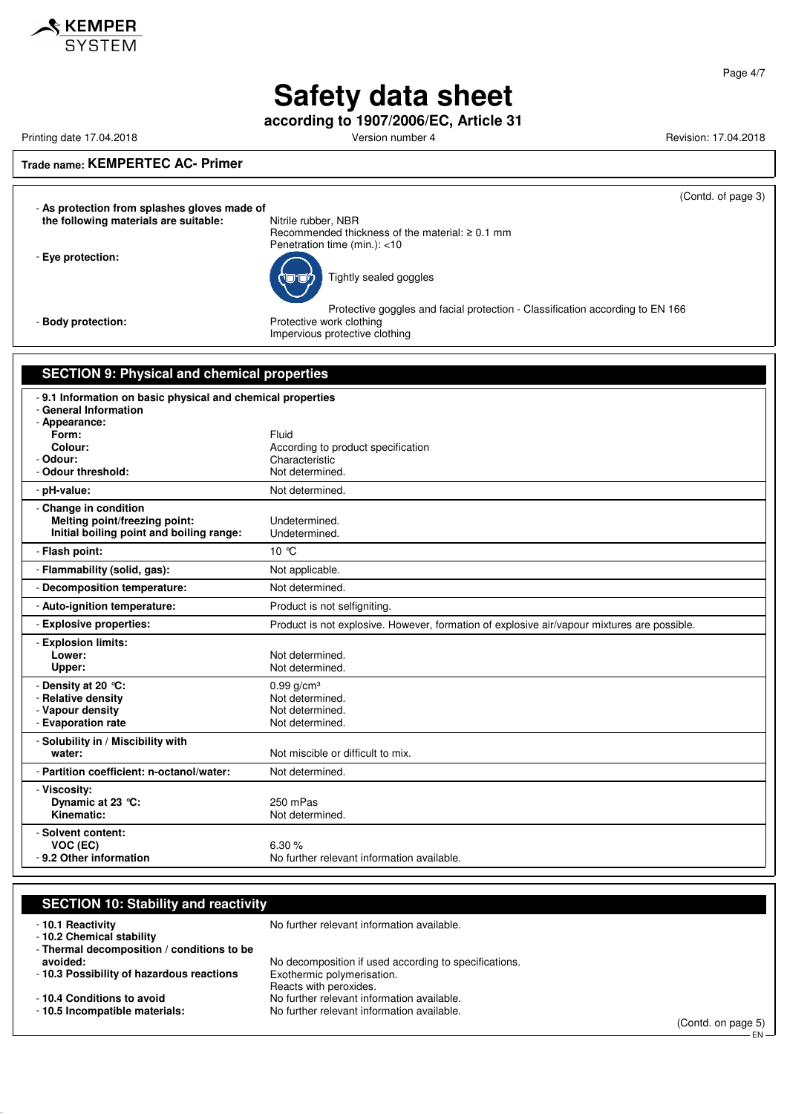

**according to 1907/2006/EC, Article 31**

Printing date 17.04.2018 **Printing date 17.04.2018** Version number 4 Revision: 17.04.2018

 $\mathbf$ **KEMPER** SYSTEM

### **Trade name: KEMPERTEC AC- Primer**

(Contd. of page 3)

- **As protection from splashes gloves made of the following materials are suitable:** Nitrile rubber, NBR

Recommended thickness of the material: ≥ 0.1 mm Penetration time (min.): <10

Tightly sealed goggles

- **Eye protection:**

Protective goggles and facial protection - Classification according to EN 166 - **Body protection:** Protective work clothing Impervious protective clothing

| -9.1 Information on basic physical and chemical properties<br>- General Information<br>- Appearance:<br>Fluid<br>Form:<br>Colour:<br>According to product specification<br>- Odour:<br>Characteristic<br>- Odour threshold:<br>Not determined.<br>- pH-value:<br>Not determined.<br>- Change in condition<br>Melting point/freezing point:<br>Undetermined.<br>Initial boiling point and boiling range:<br>Undetermined.<br>- Flash point:<br>10 °C<br>- Flammability (solid, gas):<br>Not applicable.<br>Not determined.<br>- Decomposition temperature:<br>Product is not selfigniting.<br>- Auto-ignition temperature:<br>Product is not explosive. However, formation of explosive air/vapour mixtures are possible.<br>- Explosive properties:<br>- Explosion limits:<br>Lower:<br>Not determined. | <b>SECTION 9: Physical and chemical properties</b> |                 |
|---------------------------------------------------------------------------------------------------------------------------------------------------------------------------------------------------------------------------------------------------------------------------------------------------------------------------------------------------------------------------------------------------------------------------------------------------------------------------------------------------------------------------------------------------------------------------------------------------------------------------------------------------------------------------------------------------------------------------------------------------------------------------------------------------------|----------------------------------------------------|-----------------|
|                                                                                                                                                                                                                                                                                                                                                                                                                                                                                                                                                                                                                                                                                                                                                                                                         |                                                    |                 |
|                                                                                                                                                                                                                                                                                                                                                                                                                                                                                                                                                                                                                                                                                                                                                                                                         |                                                    |                 |
|                                                                                                                                                                                                                                                                                                                                                                                                                                                                                                                                                                                                                                                                                                                                                                                                         |                                                    |                 |
|                                                                                                                                                                                                                                                                                                                                                                                                                                                                                                                                                                                                                                                                                                                                                                                                         |                                                    |                 |
|                                                                                                                                                                                                                                                                                                                                                                                                                                                                                                                                                                                                                                                                                                                                                                                                         |                                                    |                 |
|                                                                                                                                                                                                                                                                                                                                                                                                                                                                                                                                                                                                                                                                                                                                                                                                         |                                                    |                 |
|                                                                                                                                                                                                                                                                                                                                                                                                                                                                                                                                                                                                                                                                                                                                                                                                         |                                                    |                 |
|                                                                                                                                                                                                                                                                                                                                                                                                                                                                                                                                                                                                                                                                                                                                                                                                         |                                                    |                 |
|                                                                                                                                                                                                                                                                                                                                                                                                                                                                                                                                                                                                                                                                                                                                                                                                         |                                                    |                 |
|                                                                                                                                                                                                                                                                                                                                                                                                                                                                                                                                                                                                                                                                                                                                                                                                         |                                                    |                 |
|                                                                                                                                                                                                                                                                                                                                                                                                                                                                                                                                                                                                                                                                                                                                                                                                         | Upper:                                             | Not determined. |
| - Density at 20 °C:<br>$0.99$ g/cm <sup>3</sup><br>- Relative density<br>Not determined.<br>- Vapour density<br>Not determined.<br>- Evaporation rate<br>Not determined.                                                                                                                                                                                                                                                                                                                                                                                                                                                                                                                                                                                                                                |                                                    |                 |
| - Solubility in / Miscibility with<br>Not miscible or difficult to mix.<br>water:                                                                                                                                                                                                                                                                                                                                                                                                                                                                                                                                                                                                                                                                                                                       |                                                    |                 |
| - Partition coefficient: n-octanol/water:<br>Not determined.                                                                                                                                                                                                                                                                                                                                                                                                                                                                                                                                                                                                                                                                                                                                            |                                                    |                 |
| - Viscosity:<br>Dynamic at 23 °C:<br>250 mPas<br>Kinematic:<br>Not determined.                                                                                                                                                                                                                                                                                                                                                                                                                                                                                                                                                                                                                                                                                                                          |                                                    |                 |
| - Solvent content:<br>VOC (EC)<br>6.30%<br>- 9.2 Other information<br>No further relevant information available.                                                                                                                                                                                                                                                                                                                                                                                                                                                                                                                                                                                                                                                                                        |                                                    |                 |

## **SECTION 10: Stability and reactivity**

- **10.2 Chemical stability**

- **10.1 Reactivity 10.1 Reactivity 10.1 Reactivity** 

- **Thermal decomposition / conditions to be**

- **10.3 Possibility of hazardous reactions** 

No decomposition if used according to specifications.<br>Exothermic polymerisation. Reacts with peroxides. - **10.4 Conditions to avoid** No further relevant information available.<br>- **10.5 Incompatible materials:** No further relevant information available. No further relevant information available.

(Contd. on page 5)

EN

Page 4/7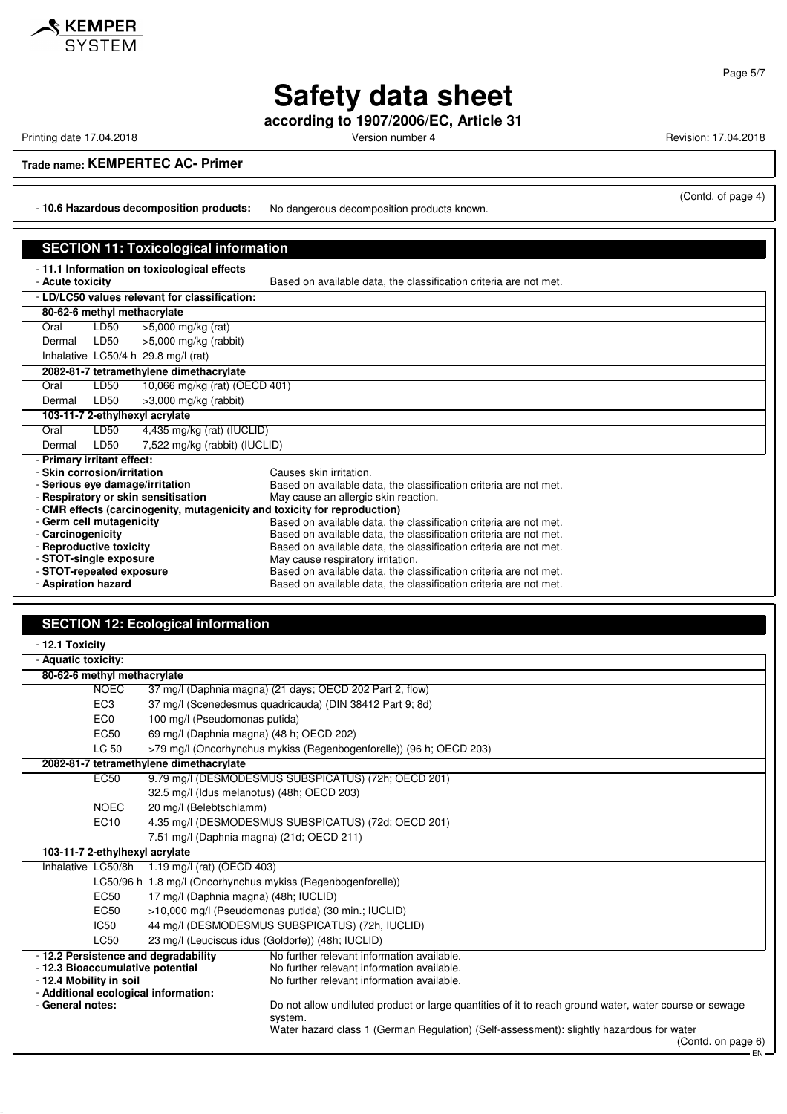# **Safety data sheet**

**according to 1907/2006/EC, Article 31**

Printing date 17.04.2018 **Printing date 17.04.2018** Version number 4 Revision: 17.04.2018

## **Trade name: KEMPERTEC AC- Primer**

- **10.6 Hazardous decomposition products:** No dangerous decomposition products known.

## **SECTION 11: Toxicological information**

- **11.1 Information on toxicological effects**

Based on available data, the classification criteria are not met.

|                                                                           | - LD/LC50 values relevant for classification: |                               |                                                                   |
|---------------------------------------------------------------------------|-----------------------------------------------|-------------------------------|-------------------------------------------------------------------|
|                                                                           | 80-62-6 methyl methacrylate                   |                               |                                                                   |
| Oral                                                                      | LD50<br>$>5,000$ mg/kg (rat)                  |                               |                                                                   |
| Dermal                                                                    | LD50                                          | $>5,000$ mg/kg (rabbit)       |                                                                   |
|                                                                           | Inhalative $LC50/4 h$ 29.8 mg/l (rat)         |                               |                                                                   |
| 2082-81-7 tetramethylene dimethacrylate                                   |                                               |                               |                                                                   |
| Oral                                                                      | LD50                                          | 10,066 mg/kg (rat) (OECD 401) |                                                                   |
| Dermal                                                                    | LD50                                          | $>3,000$ mg/kg (rabbit)       |                                                                   |
| 103-11-7 2-ethylhexyl acrylate                                            |                                               |                               |                                                                   |
| Oral                                                                      | LD50                                          | 4,435 mg/kg (rat) (IUCLID)    |                                                                   |
| Dermal                                                                    | LD50                                          | 7,522 mg/kg (rabbit) (IUCLID) |                                                                   |
| - Primary irritant effect:                                                |                                               |                               |                                                                   |
| - Skin corrosion/irritation<br>Causes skin irritation.                    |                                               |                               |                                                                   |
| - Serious eve damage/irritation                                           |                                               |                               | Based on available data, the classification criteria are not met. |
| - Respiratory or skin sensitisation                                       |                                               |                               | May cause an allergic skin reaction.                              |
| - CMR effects (carcinogenity, mutagenicity and toxicity for reproduction) |                                               |                               |                                                                   |
| - Germ cell mutagenicity                                                  |                                               |                               | Based on available data, the classification criteria are not met. |
| - Carcinogenicity                                                         |                                               |                               | Based on available data, the classification criteria are not met. |
| - Reproductive toxicity                                                   |                                               |                               | Based on available data, the classification criteria are not met. |
| - STOT-single exposure                                                    |                                               |                               | May cause respiratory irritation.                                 |
| - STOT-repeated exposure                                                  |                                               |                               | Based on available data, the classification criteria are not met. |
| - Aspiration hazard                                                       |                                               |                               | Based on available data, the classification criteria are not met. |

# **SECTION 12: Ecological information**

| - 12.1 Toxicity                                             |                                          |                                                                                                                                        |
|-------------------------------------------------------------|------------------------------------------|----------------------------------------------------------------------------------------------------------------------------------------|
| - Aquatic toxicity:                                         |                                          |                                                                                                                                        |
| 80-62-6 methyl methacrylate                                 |                                          |                                                                                                                                        |
| <b>NOEC</b>                                                 |                                          | 37 mg/l (Daphnia magna) (21 days; OECD 202 Part 2, flow)                                                                               |
| EC <sub>3</sub>                                             |                                          | 37 mg/l (Scenedesmus quadricauda) (DIN 38412 Part 9; 8d)                                                                               |
| EC <sub>0</sub>                                             | 100 mg/l (Pseudomonas putida)            |                                                                                                                                        |
| EC <sub>50</sub>                                            | 69 mg/l (Daphnia magna) (48 h; OECD 202) |                                                                                                                                        |
| LC 50                                                       |                                          | >79 mg/l (Oncorhynchus mykiss (Regenbogenforelle)) (96 h; OECD 203)                                                                    |
|                                                             | 2082-81-7 tetramethylene dimethacrylate  |                                                                                                                                        |
| EC50                                                        |                                          | 9.79 mg/l (DESMODESMUS SUBSPICATUS) (72h; OECD 201)                                                                                    |
|                                                             |                                          | 32.5 mg/l (Idus melanotus) (48h; OECD 203)                                                                                             |
| <b>NOEC</b>                                                 | 20 mg/l (Belebtschlamm)                  |                                                                                                                                        |
| EC10                                                        |                                          | 4.35 mg/l (DESMODESMUS SUBSPICATUS) (72d; OECD 201)                                                                                    |
| 7.51 mg/l (Daphnia magna) (21d; OECD 211)                   |                                          |                                                                                                                                        |
| 103-11-7 2-ethylhexyl acrylate                              |                                          |                                                                                                                                        |
| Inhalative LC50/8h                                          | 1.19 mg/l (rat) (OECD 403)               |                                                                                                                                        |
|                                                             |                                          | LC50/96 h   1.8 mg/l (Oncorhynchus mykiss (Regenbogenforelle))                                                                         |
| EC <sub>50</sub>                                            | 17 mg/l (Daphnia magna) (48h; IUCLID)    |                                                                                                                                        |
| EC <sub>50</sub>                                            |                                          | >10,000 mg/l (Pseudomonas putida) (30 min.; IUCLID)                                                                                    |
| <b>IC50</b>                                                 |                                          | 44 mg/l (DESMODESMUS SUBSPICATUS) (72h, IUCLID)                                                                                        |
| <b>LC50</b>                                                 |                                          | 23 mg/l (Leuciscus idus (Goldorfe)) (48h; IUCLID)                                                                                      |
| - 12.3 Bioaccumulative potential<br>- 12.4 Mobility in soil | - 12.2 Persistence and degradability     | No further relevant information available.<br>No further relevant information available.<br>No further relevant information available. |
|                                                             | - Additional ecological information:     |                                                                                                                                        |
| - General notes:                                            |                                          | Do not allow undiluted product or large quantities of it to reach ground water, water course or sewage<br>system.                      |
|                                                             |                                          | Water hazard class 1 (German Regulation) (Self-assessment): slightly hazardous for water<br>(Contd. on page 6)                         |

- FN

Page 5/7

(Contd. of page 4)

KEMPER **SYSTEM**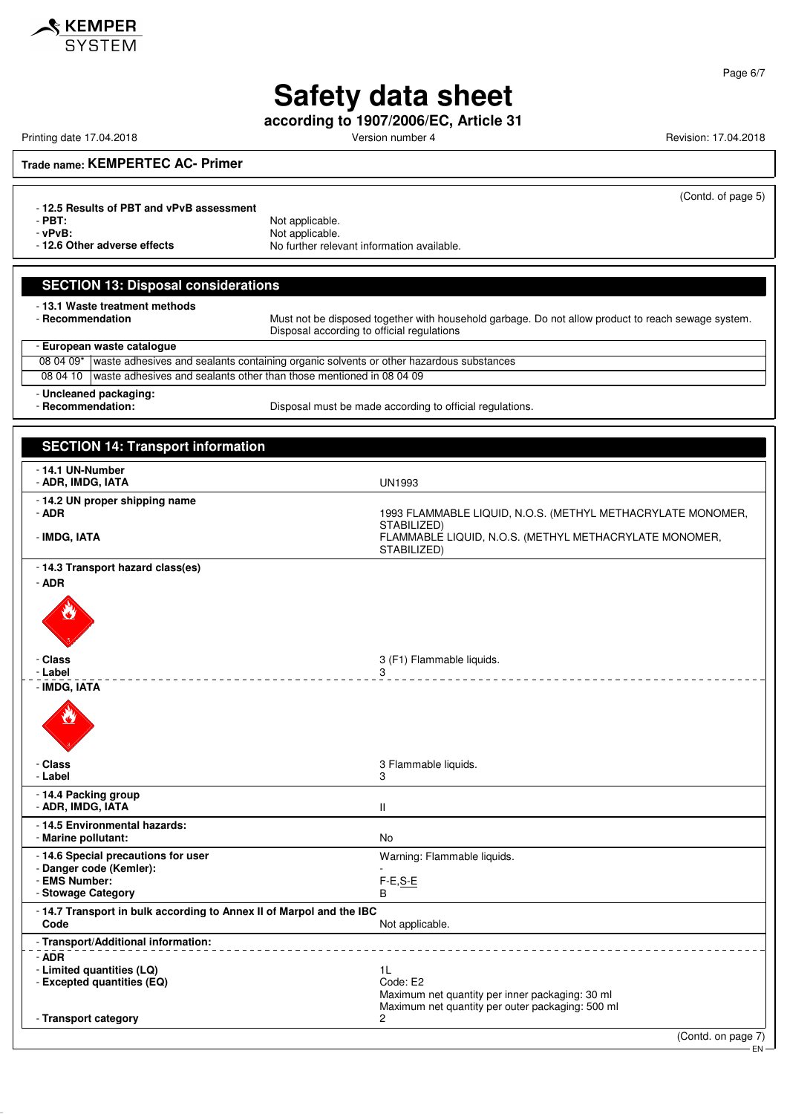

# **Safety data sheet**

**according to 1907/2006/EC, Article 31**

Printing date 17.04.2018 **Printing date 17.04.2018** Version number 4 Revision: 17.04.2018

Page 6/7

**Trade name: KEMPERTEC AC- Primer**

(Contd. of page 5)

EN

- **12.5 Results of PBT and vPvB assessment** - **PBT:**<br>
- **vPvB:**<br>
Not applicable. verball of the **verballs** of the verballs of the verballs of the verballs of the verballs of the verballs of the v<br>**Not further relevant of the verballs** of the verballs of the verballs of the verballs of the verballs of t No further relevant information available.

## **SECTION 13: Disposal considerations**

- **13.1 Waste treatment methods**

Must not be disposed together with household garbage. Do not allow product to reach sewage system. Disposal according to official regulations

| - European waste catalogue |                                                                                                    |  |  |
|----------------------------|----------------------------------------------------------------------------------------------------|--|--|
|                            | 08 04 09*   waste adhesives and sealants containing organic solvents or other hazardous substances |  |  |
|                            | 08 04 10 waste adhesives and sealants other than those mentioned in 08 04 09                       |  |  |
|                            |                                                                                                    |  |  |

- **Uncleaned packaging:**

Disposal must be made according to official regulations.

| <b>SECTION 14: Transport information</b>                                     |                                                                                                          |
|------------------------------------------------------------------------------|----------------------------------------------------------------------------------------------------------|
| - 14.1 UN-Number<br>- ADR, IMDG, IATA                                        | <b>UN1993</b>                                                                                            |
| - 14.2 UN proper shipping name<br>- ADR                                      | 1993 FLAMMABLE LIQUID, N.O.S. (METHYL METHACRYLATE MONOMER,<br>STABILIZED)                               |
| - IMDG, IATA                                                                 | FLAMMABLE LIQUID, N.O.S. (METHYL METHACRYLATE MONOMER,<br>STABILIZED)                                    |
| - 14.3 Transport hazard class(es)<br>- ADR                                   |                                                                                                          |
|                                                                              |                                                                                                          |
| - Class<br>- Label                                                           | 3 (F1) Flammable liquids.                                                                                |
| - IMDG, IATA                                                                 | 3                                                                                                        |
|                                                                              |                                                                                                          |
| - Class<br>- Label                                                           | 3 Flammable liquids.<br>3                                                                                |
| - 14.4 Packing group<br>- ADR, IMDG, IATA                                    | $\mathbf{I}$                                                                                             |
| - 14.5 Environmental hazards:<br>- Marine pollutant:                         | <b>No</b>                                                                                                |
| -14.6 Special precautions for user<br>- Danger code (Kemler):                | Warning: Flammable liquids.                                                                              |
| - EMS Number:                                                                | $F-E, S-E$                                                                                               |
| - Stowage Category                                                           | В                                                                                                        |
| - 14.7 Transport in bulk according to Annex II of Marpol and the IBC<br>Code | Not applicable.                                                                                          |
| - Transport/Additional information:                                          |                                                                                                          |
| $-$ ADR<br>- Limited quantities (LQ)<br>- Excepted quantities (EQ)           | 1L<br>Code: E2                                                                                           |
| - Transport category                                                         | Maximum net quantity per inner packaging: 30 ml<br>Maximum net quantity per outer packaging: 500 ml<br>2 |
|                                                                              | (Contd. on page 7)                                                                                       |